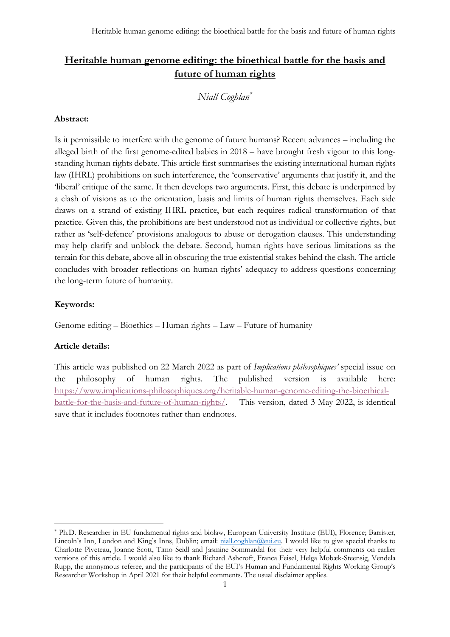# **Heritable human genome editing: the bioethical battle for the basis and future of human rights**

## *Niall Coghlan\**

#### **Abstract:**

Is it permissible to interfere with the genome of future humans? Recent advances – including the alleged birth of the first genome-edited babies in 2018 – have brought fresh vigour to this longstanding human rights debate. This article first summarises the existing international human rights law (IHRL) prohibitions on such interference, the 'conservative' arguments that justify it, and the 'liberal' critique of the same. It then develops two arguments. First, this debate is underpinned by a clash of visions as to the orientation, basis and limits of human rights themselves. Each side draws on a strand of existing IHRL practice, but each requires radical transformation of that practice. Given this, the prohibitions are best understood not as individual or collective rights, but rather as 'self-defence' provisions analogous to abuse or derogation clauses. This understanding may help clarify and unblock the debate. Second, human rights have serious limitations as the terrain for this debate, above all in obscuring the true existential stakes behind the clash. The article concludes with broader reflections on human rights' adequacy to address questions concerning the long-term future of humanity.

### **Keywords:**

Genome editing – Bioethics – Human rights – Law – Future of humanity

## **Article details:**

This article was published on 22 March 2022 as part of *Implications philosophiques'* special issue on the philosophy of human rights. The published version is available here: https://www.implications-philosophiques.org/heritable-human-genome-editing-the-bioethicalbattle-for-the-basis-and-future-of-human-rights/. This version, dated 3 May 2022, is identical save that it includes footnotes rather than endnotes.

<sup>\*</sup> Ph.D. Researcher in EU fundamental rights and biolaw, European University Institute (EUI), Florence; Barrister, Lincoln's Inn, London and King's Inns, Dublin; email: niall.coghlan@eui.eu. I would like to give special thanks to Charlotte Piveteau, Joanne Scott, Timo Seidl and Jasmine Sommardal for their very helpful comments on earlier versions of this article. I would also like to thank Richard Ashcroft, Franca Feisel, Helga Mobæk-Steensig, Vendela Rupp, the anonymous referee, and the participants of the EUI's Human and Fundamental Rights Working Group's Researcher Workshop in April 2021 for their helpful comments. The usual disclaimer applies.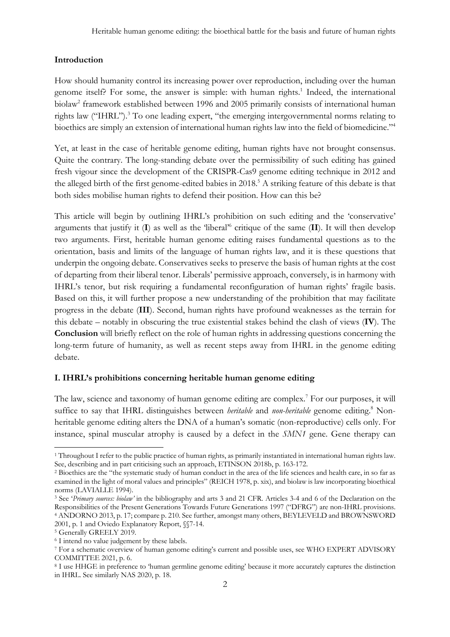## **Introduction**

How should humanity control its increasing power over reproduction, including over the human genome itself? For some, the answer is simple: with human rights.<sup>1</sup> Indeed, the international biolaw<sup>2</sup> framework established between 1996 and 2005 primarily consists of international human rights law ("IHRL"). <sup>3</sup> To one leading expert, "the emerging intergovernmental norms relating to bioethics are simply an extension of international human rights law into the field of biomedicine."4

Yet, at least in the case of heritable genome editing, human rights have not brought consensus. Quite the contrary. The long-standing debate over the permissibility of such editing has gained fresh vigour since the development of the CRISPR-Cas9 genome editing technique in 2012 and the alleged birth of the first genome-edited babies in 2018. <sup>5</sup> A striking feature of this debate is that both sides mobilise human rights to defend their position. How can this be?

This article will begin by outlining IHRL's prohibition on such editing and the 'conservative' arguments that justify it (**I**) as well as the 'liberal' <sup>6</sup> critique of the same (**II**). It will then develop two arguments. First, heritable human genome editing raises fundamental questions as to the orientation, basis and limits of the language of human rights law, and it is these questions that underpin the ongoing debate. Conservatives seeks to preserve the basis of human rights at the cost of departing from their liberal tenor. Liberals' permissive approach, conversely, is in harmony with IHRL's tenor, but risk requiring a fundamental reconfiguration of human rights' fragile basis. Based on this, it will further propose a new understanding of the prohibition that may facilitate progress in the debate (**III**). Second, human rights have profound weaknesses as the terrain for this debate – notably in obscuring the true existential stakes behind the clash of views (**IV**). The **Conclusion** will briefly reflect on the role of human rights in addressing questions concerning the long-term future of humanity, as well as recent steps away from IHRL in the genome editing debate.

## **I. IHRL's prohibitions concerning heritable human genome editing**

The law, science and taxonomy of human genome editing are complex.<sup>7</sup> For our purposes, it will suffice to say that IHRL distinguishes between *heritable* and *non-heritable* genome editing. <sup>8</sup> Nonheritable genome editing alters the DNA of a human's somatic (non-reproductive) cells only. For instance, spinal muscular atrophy is caused by a defect in the *SMN1* gene. Gene therapy can

<sup>1</sup> Throughout I refer to the public practice of human rights, as primarily instantiated in international human rights law. See, describing and in part criticising such an approach, ETINSON 2018b, p. 163-172.

<sup>2</sup> Bioethics are the "the systematic study of human conduct in the area of the life sciences and health care, in so far as examined in the light of moral values and principles" (REICH 1978, p. xix), and biolaw is law incorporating bioethical norms (LAVIALLE 1994).

<sup>3</sup> See '*Primary sources: biolaw'* in the bibliography and arts 3 and 21 CFR. Articles 3-4 and 6 of the Declaration on the Responsibilities of the Present Generations Towards Future Generations 1997 ("DFRG") are non-IHRL provisions. <sup>4</sup> ANDORNO 2013, p. 17; compare p. 210. See further, amongst many others, BEYLEVELD and BROWNSWORD 2001, p. 1 and Oviedo Explanatory Report, §§7-14.

<sup>5</sup> Generally GREELY 2019.

<sup>6</sup> I intend no value judgement by these labels.

<sup>7</sup> For a schematic overview of human genome editing's current and possible uses, see WHO EXPERT ADVISORY COMMITTEE 2021, p. 6.

<sup>8</sup> I use HHGE in preference to 'human germline genome editing' because it more accurately captures the distinction in IHRL. See similarly NAS 2020, p. 18.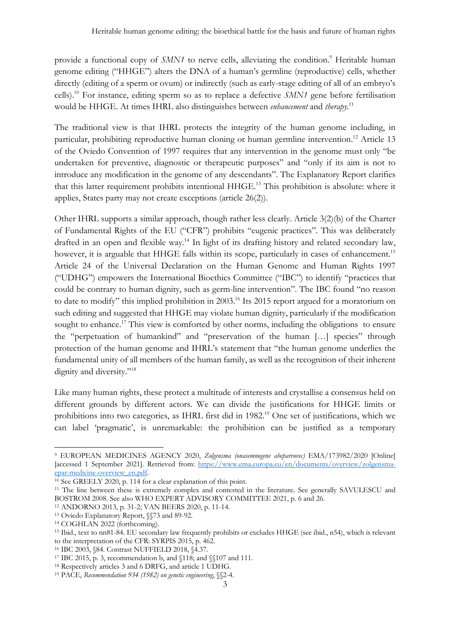provide a functional copy of *SMN1* to nerve cells, alleviating the condition.<sup>9</sup> Heritable human genome editing ("HHGE") alters the DNA of a human's germline (reproductive) cells, whether directly (editing of a sperm or ovum) or indirectly (such as early-stage editing of all of an embryo's cells).10 For instance, editing sperm so as to replace a defective *SMN1* gene before fertilisation would be HHGE. At times IHRL also distinguishes between *enhancement* and *therapy*. 11

The traditional view is that IHRL protects the integrity of the human genome including, in particular, prohibiting reproductive human cloning or human germline intervention.<sup>12</sup> Article 13 of the Oviedo Convention of 1997 requires that any intervention in the genome must only "be undertaken for preventive, diagnostic or therapeutic purposes" and "only if its aim is not to introduce any modification in the genome of any descendants". The Explanatory Report clarifies that this latter requirement prohibits intentional HHGE. <sup>13</sup> This prohibition is absolute: where it applies, States party may not create exceptions (article 26(2)).

Other IHRL supports a similar approach, though rather less clearly. Article 3(2)(b) of the Charter of Fundamental Rights of the EU ("CFR") prohibits "eugenic practices". This was deliberately drafted in an open and flexible way.<sup>14</sup> In light of its drafting history and related secondary law, however, it is arguable that HHGE falls within its scope, particularly in cases of enhancement.<sup>15</sup> Article 24 of the Universal Declaration on the Human Genome and Human Rights 1997 ("UDHG") empowers the International Bioethics Committee ("IBC") to identify "practices that could be contrary to human dignity, such as germ-line intervention". The IBC found "no reason to date to modify" this implied prohibition in 2003.<sup>16</sup> Its 2015 report argued for a moratorium on such editing and suggested that HHGE may violate human dignity, particularly if the modification sought to enhance.<sup>17</sup> This view is comforted by other norms, including the obligations to ensure the "perpetuation of humankind" and "preservation of the human […] species" through protection of the human genome and IHRL's statement that "the human genome underlies the fundamental unity of all members of the human family, as well as the recognition of their inherent dignity and diversity."<sup>18</sup>

Like many human rights, these protect a multitude of interests and crystallise a consensus held on different grounds by different actors. We can divide the justifications for HHGE limits or prohibitions into two categories, as IHRL first did in 1982.<sup>19</sup> One set of justifications, which we can label 'pragmatic', is unremarkable: the prohibition can be justified as a temporary

<sup>9</sup> EUROPEAN MEDICINES AGENCY 2020, *Zolgensma (onasemnogene abeparvovec)* EMA/173982/2020 [Online] [accessed 1 September 2021]. Retrieved from: https://www.ema.europa.eu/en/documents/overview/zolgensmaepar-medicine-overview\_en.pdf.

<sup>10</sup> See GREELY 2020, p. 114 for a clear explanation of this point.

<sup>&</sup>lt;sup>11</sup> The line between these is extremely complex and contested in the literature. See generally SAVULESCU and BOSTROM 2008. See also WHO EXPERT ADVISORY COMMITTEE 2021, p. 6 and 26.

<sup>12</sup> ANDORNO 2013, p. 31-2; VAN BEERS 2020, p. 11-14.

<sup>13</sup> Oviedo Explanatory Report, §§73 and 89-92.

<sup>14</sup> COGHLAN 2022 (forthcoming).

<sup>15</sup> Ibid., text to nn81-84. EU secondary law frequently prohibits or excludes HHGE (see ibid., n54), which is relevant to the interpretation of the CFR: SYRPIS 2015, p. 462.

<sup>16</sup> IBC 2003, §84. Contrast NUFFIELD 2018, §4.37.

<sup>17</sup> IBC 2015, p. 3, recommendation b, and §118; and §§107 and 111.

<sup>18</sup> Respectively articles 3 and 6 DRFG, and article 1 UDHG.

<sup>19</sup> PACE, *Recommendation 934 (1982) on genetic engineering*, §§2-4.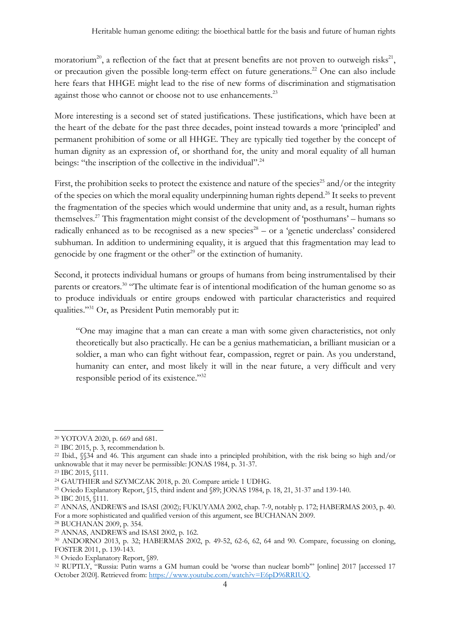moratorium<sup>20</sup>, a reflection of the fact that at present benefits are not proven to outweigh risks<sup>21</sup>, or precaution given the possible long-term effect on future generations.<sup>22</sup> One can also include here fears that HHGE might lead to the rise of new forms of discrimination and stigmatisation against those who cannot or choose not to use enhancements.<sup>23</sup>

More interesting is a second set of stated justifications. These justifications, which have been at the heart of the debate for the past three decades, point instead towards a more 'principled' and permanent prohibition of some or all HHGE. They are typically tied together by the concept of human dignity as an expression of, or shorthand for, the unity and moral equality of all human beings: "the inscription of the collective in the individual".<sup>24</sup>

First, the prohibition seeks to protect the existence and nature of the species<sup>25</sup> and/or the integrity of the species on which the moral equality underpinning human rights depend.26 It seeks to prevent the fragmentation of the species which would undermine that unity and, as a result, human rights themselves.27 This fragmentation might consist of the development of 'posthumans' – humans so radically enhanced as to be recognised as a new species<sup>28</sup> – or a 'genetic underclass' considered subhuman. In addition to undermining equality, it is argued that this fragmentation may lead to genocide by one fragment or the other<sup>29</sup> or the extinction of humanity.

Second, it protects individual humans or groups of humans from being instrumentalised by their parents or creators.<sup>30</sup> "The ultimate fear is of intentional modification of the human genome so as to produce individuals or entire groups endowed with particular characteristics and required qualities."31 Or, as President Putin memorably put it:

"One may imagine that a man can create a man with some given characteristics, not only theoretically but also practically. He can be a genius mathematician, a brilliant musician or a soldier, a man who can fight without fear, compassion, regret or pain. As you understand, humanity can enter, and most likely it will in the near future, a very difficult and very responsible period of its existence."32

<sup>20</sup> YOTOVA 2020, p. 669 and 681.

<sup>21</sup> IBC 2015, p. 3, recommendation b.

<sup>22</sup> Ibid., §§34 and 46. This argument can shade into a principled prohibition, with the risk being so high and/or unknowable that it may never be permissible: JONAS 1984, p. 31-37.

<sup>23</sup> IBC 2015, §111.

<sup>24</sup> GAUTHIER and SZYMCZAK 2018, p. 20. Compare article 1 UDHG.

<sup>25</sup> Oviedo Explanatory Report, §15, third indent and §89; JONAS 1984, p. 18, 21, 31-37 and 139-140.

<sup>26</sup> IBC 2015, §111.

<sup>27</sup> ANNAS, ANDREWS and ISASI (2002); FUKUYAMA 2002, chap. 7-9, notably p. 172; HABERMAS 2003, p. 40. For a more sophisticated and qualified version of this argument, see BUCHANAN 2009.

<sup>28</sup> BUCHANAN 2009, p. 354.

<sup>29</sup> ANNAS, ANDREWS and ISASI 2002, p. 162.

<sup>30</sup> ANDORNO 2013, p. 32; HABERMAS 2002, p. 49-52, 62-6, 62, 64 and 90. Compare, focussing on cloning, FOSTER 2011, p. 139-143.

<sup>&</sup>lt;sup>31</sup> Oviedo Explanatory Report, §89.<br><sup>32</sup> RUPTLY, "Russia: Putin warns a GM human could be 'worse than nuclear bomb'" [online] 2017 [accessed 17 October 2020]. Retrieved from: https://www.youtube.com/watch?v=E6pD96RRIUQ.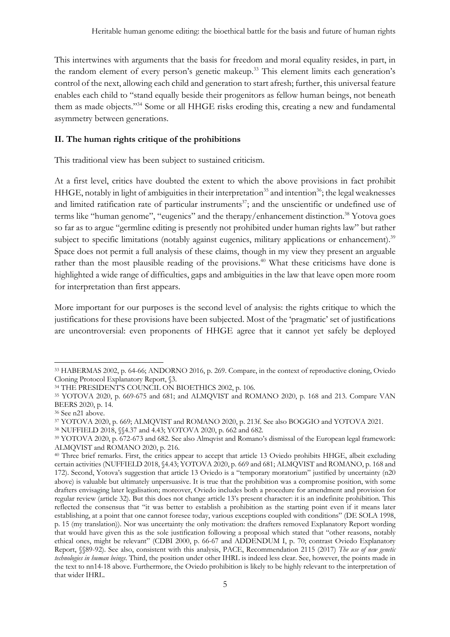This intertwines with arguments that the basis for freedom and moral equality resides, in part, in the random element of every person's genetic makeup.<sup>33</sup> This element limits each generation's control of the next, allowing each child and generation to start afresh; further, this universal feature enables each child to "stand equally beside their progenitors as fellow human beings, not beneath them as made objects."34 Some or all HHGE risks eroding this, creating a new and fundamental asymmetry between generations.

## **II. The human rights critique of the prohibitions**

This traditional view has been subject to sustained criticism.

At a first level, critics have doubted the extent to which the above provisions in fact prohibit HHGE, notably in light of ambiguities in their interpretation<sup>35</sup> and intention<sup>36</sup>; the legal weaknesses and limited ratification rate of particular instruments<sup>37</sup>; and the unscientific or undefined use of terms like "human genome", "eugenics" and the therapy/enhancement distinction. <sup>38</sup> Yotova goes so far as to argue "germline editing is presently not prohibited under human rights law" but rather subject to specific limitations (notably against eugenics, military applications or enhancement).<sup>39</sup> Space does not permit a full analysis of these claims, though in my view they present an arguable rather than the most plausible reading of the provisions.<sup>40</sup> What these criticisms have done is highlighted a wide range of difficulties, gaps and ambiguities in the law that leave open more room for interpretation than first appears.

More important for our purposes is the second level of analysis: the rights critique to which the justifications for these provisions have been subjected. Most of the 'pragmatic' set of justifications are uncontroversial: even proponents of HHGE agree that it cannot yet safely be deployed

<sup>33</sup> HABERMAS 2002, p. 64-66; ANDORNO 2016, p. 269. Compare, in the context of reproductive cloning, Oviedo Cloning Protocol Explanatory Report, §3.

<sup>34</sup> THE PRESIDENT'S COUNCIL ON BIOETHICS 2002, p. 106.

<sup>35</sup> YOTOVA 2020, p. 669-675 and 681; and ALMQVIST and ROMANO 2020, p. 168 and 213. Compare VAN BEERS 2020, p. 14.

<sup>&</sup>lt;sup>36</sup> See n21 above.<br><sup>37</sup> YOTOVA 2020, p. 669; ALMQVIST and ROMANO 2020, p. 213f. See also BOGGIO and YOTOVA 2021.

<sup>38</sup> NUFFIELD 2018, §§4.37 and 4.43; YOTOVA 2020, p. 662 and 682.

<sup>39</sup> YOTOVA 2020, p. 672-673 and 682. See also Almqvist and Romano's dismissal of the European legal framework: ALMQVIST and ROMANO 2020, p. 216.

<sup>40</sup> Three brief remarks. First, the critics appear to accept that article 13 Oviedo prohibits HHGE, albeit excluding certain activities (NUFFIELD 2018, §4.43; YOTOVA 2020, p. 669 and 681; ALMQVIST and ROMANO, p. 168 and 172). Second, Yotova's suggestion that article 13 Oviedo is a "temporary moratorium" justified by uncertainty (n20 above) is valuable but ultimately unpersuasive. It is true that the prohibition was a compromise position, with some drafters envisaging later legalisation; moreover, Oviedo includes both a procedure for amendment and provision for regular review (article 32). But this does not change article 13's present character: it is an indefinite prohibition. This reflected the consensus that "it was better to establish a prohibition as the starting point even if it means later establishing, at a point that one cannot foresee today, various exceptions coupled with conditions" (DE SOLA 1998, p. 15 (my translation)). Nor was uncertainty the only motivation: the drafters removed Explanatory Report wording that would have given this as the sole justification following a proposal which stated that "other reasons, notably ethical ones, might be relevant" (CDBI 2000, p. 66-67 and ADDENDUM I, p. 70; contrast Oviedo Explanatory Report, §§89-92). See also, consistent with this analysis, PACE, Recommendation 2115 (2017) *The use of new genetic technologies in human beings*. Third, the position under other IHRL is indeed less clear. See, however, the points made in the text to nn14-18 above. Furthermore, the Oviedo prohibition is likely to be highly relevant to the interpretation of that wider IHRL.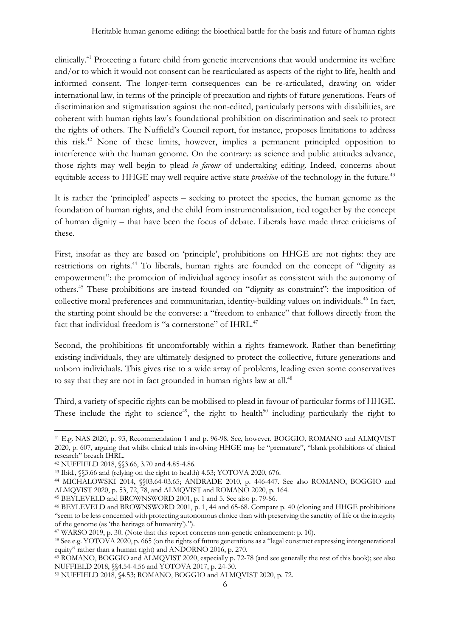clinically. <sup>41</sup> Protecting a future child from genetic interventions that would undermine its welfare and/or to which it would not consent can be rearticulated as aspects of the right to life, health and informed consent. The longer-term consequences can be re-articulated, drawing on wider international law, in terms of the principle of precaution and rights of future generations. Fears of discrimination and stigmatisation against the non-edited, particularly persons with disabilities, are coherent with human rights law's foundational prohibition on discrimination and seek to protect the rights of others. The Nuffield's Council report, for instance, proposes limitations to address this risk.42 None of these limits, however, implies a permanent principled opposition to interference with the human genome. On the contrary: as science and public attitudes advance, those rights may well begin to plead *in favour* of undertaking editing. Indeed, concerns about equitable access to HHGE may well require active state *provision* of the technology in the future.<sup>43</sup>

It is rather the 'principled' aspects – seeking to protect the species, the human genome as the foundation of human rights, and the child from instrumentalisation, tied together by the concept of human dignity – that have been the focus of debate. Liberals have made three criticisms of these.

First, insofar as they are based on 'principle', prohibitions on HHGE are not rights: they are restrictions on rights.<sup>44</sup> To liberals, human rights are founded on the concept of "dignity as empowerment": the promotion of individual agency insofar as consistent with the autonomy of others.45 These prohibitions are instead founded on "dignity as constraint": the imposition of collective moral preferences and communitarian, identity-building values on individuals.46 In fact, the starting point should be the converse: a "freedom to enhance" that follows directly from the fact that individual freedom is "a cornerstone" of IHRL.<sup>47</sup>

Second, the prohibitions fit uncomfortably within a rights framework. Rather than benefitting existing individuals, they are ultimately designed to protect the collective, future generations and unborn individuals. This gives rise to a wide array of problems, leading even some conservatives to say that they are not in fact grounded in human rights law at all.<sup>48</sup>

Third, a variety of specific rights can be mobilised to plead in favour of particular forms of HHGE. These include the right to science<sup>49</sup>, the right to health<sup>50</sup> including particularly the right to

<sup>41</sup> E.g. NAS 2020, p. 93, Recommendation 1 and p. 96-98. See, however, BOGGIO, ROMANO and ALMQVIST 2020, p. 607, arguing that whilst clinical trials involving HHGE may be "premature", "blank prohibitions of clinical research" breach IHRL.

<sup>42</sup> NUFFIELD 2018, §§3.66, 3.70 and 4.85-4.86.

<sup>43</sup> Ibid., §§3.66 and (relying on the right to health) 4.53; YOTOVA 2020, 676.

<sup>44</sup> MICHALOWSKI 2014, §§03.64-03.65; ANDRADE 2010, p. 446-447. See also ROMANO, BOGGIO and ALMQVIST 2020, p. 53, 72, 78, and ALMQVIST and ROMANO 2020, p. 164.

<sup>45</sup> BEYLEVELD and BROWNSWORD 2001, p. 1 and 5. See also p. 79-86.

<sup>46</sup> BEYLEVELD and BROWNSWORD 2001, p. 1, 44 and 65-68. Compare p. 40 (cloning and HHGE prohibitions "seem to be less concerned with protecting autonomous choice than with preserving the sanctity of life or the integrity of the genome (as 'the heritage of humanity').").

<sup>47</sup> WARSO 2019, p. 30. (Note that this report concerns non-genetic enhancement: p. 10).

<sup>48</sup> See e.g. YOTOVA 2020, p. 665 (on the rights of future generations as a "legal construct expressing intergenerational equity" rather than a human right) and ANDORNO 2016, p. 270.

<sup>49</sup> ROMANO, BOGGIO and ALMQVIST 2020, especially p. 72-78 (and see generally the rest of this book); see also NUFFIELD 2018, §§4.54-4.56 and YOTOVA 2017, p. 24-30.

<sup>50</sup> NUFFIELD 2018, §4.53; ROMANO, BOGGIO and ALMQVIST 2020, p. 72.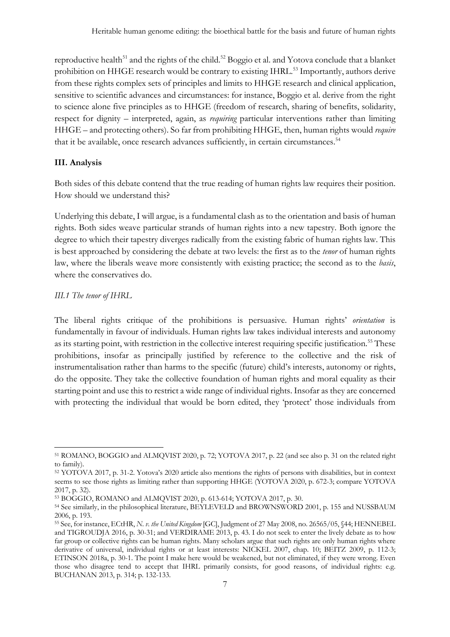reproductive health<sup>51</sup> and the rights of the child.<sup>52</sup> Boggio et al. and Yotova conclude that a blanket prohibition on HHGE research would be contrary to existing IHRL.<sup>53</sup> Importantly, authors derive from these rights complex sets of principles and limits to HHGE research and clinical application, sensitive to scientific advances and circumstances: for instance, Boggio et al. derive from the right to science alone five principles as to HHGE (freedom of research, sharing of benefits, solidarity, respect for dignity – interpreted, again, as *requiring* particular interventions rather than limiting HHGE – and protecting others). So far from prohibiting HHGE, then, human rights would *require*  that it be available, once research advances sufficiently, in certain circumstances.<sup>54</sup>

## **III. Analysis**

Both sides of this debate contend that the true reading of human rights law requires their position. How should we understand this?

Underlying this debate, I will argue, is a fundamental clash as to the orientation and basis of human rights. Both sides weave particular strands of human rights into a new tapestry. Both ignore the degree to which their tapestry diverges radically from the existing fabric of human rights law. This is best approached by considering the debate at two levels: the first as to the *tenor* of human rights law, where the liberals weave more consistently with existing practice; the second as to the *basis*, where the conservatives do.

## *III.1 The tenor of IHRL*

The liberal rights critique of the prohibitions is persuasive. Human rights' *orientation* is fundamentally in favour of individuals. Human rights law takes individual interests and autonomy as its starting point, with restriction in the collective interest requiring specific justification.<sup>55</sup> These prohibitions, insofar as principally justified by reference to the collective and the risk of instrumentalisation rather than harms to the specific (future) child's interests, autonomy or rights, do the opposite. They take the collective foundation of human rights and moral equality as their starting point and use this to restrict a wide range of individual rights. Insofar as they are concerned with protecting the individual that would be born edited, they 'protect' those individuals from

<sup>51</sup> ROMANO, BOGGIO and ALMQVIST 2020, p. 72; YOTOVA 2017, p. 22 (and see also p. 31 on the related right to family).

<sup>52</sup> YOTOVA 2017, p. 31-2. Yotova's 2020 article also mentions the rights of persons with disabilities, but in context seems to see those rights as limiting rather than supporting HHGE (YOTOVA 2020, p. 672-3; compare YOTOVA 2017, p. 32).

<sup>53</sup> BOGGIO, ROMANO and ALMQVIST 2020, p. 613-614; YOTOVA 2017, p. 30.

<sup>54</sup> See similarly, in the philosophical literature, BEYLEVELD and BROWNSWORD 2001, p. 155 and NUSSBAUM 2006, p. 193.

<sup>55</sup> See, for instance, ECtHR, *N. v. the United Kingdom* [GC], Judgment of 27 May 2008, no. 26565/05, §44; HENNEBEL and TIGROUDJA 2016, p. 30-31; and VERDIRAME 2013, p. 43. I do not seek to enter the lively debate as to how far group or collective rights can be human rights. Many scholars argue that such rights are only human rights where derivative of universal, individual rights or at least interests: NICKEL 2007, chap. 10; BEITZ 2009, p. 112-3; ETINSON 2018a, p. 30-1. The point I make here would be weakened, but not eliminated, if they were wrong. Even those who disagree tend to accept that IHRL primarily consists, for good reasons, of individual rights: e.g. BUCHANAN 2013, p. 314; p. 132-133.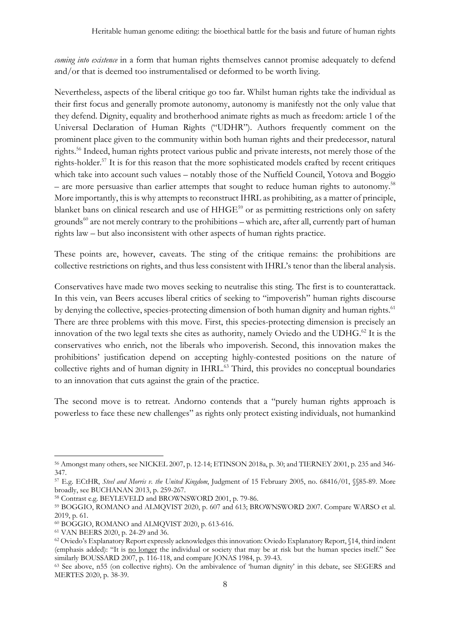*coming into existence* in a form that human rights themselves cannot promise adequately to defend and/or that is deemed too instrumentalised or deformed to be worth living.

Nevertheless, aspects of the liberal critique go too far. Whilst human rights take the individual as their first focus and generally promote autonomy, autonomy is manifestly not the only value that they defend. Dignity, equality and brotherhood animate rights as much as freedom: article 1 of the Universal Declaration of Human Rights ("UDHR"). Authors frequently comment on the prominent place given to the community within both human rights and their predecessor, natural rights.56 Indeed, human rights protect various public and private interests, not merely those of the rights-holder.57 It is for this reason that the more sophisticated models crafted by recent critiques which take into account such values – notably those of the Nuffield Council, Yotova and Boggio – are more persuasive than earlier attempts that sought to reduce human rights to autonomy.<sup>58</sup> More importantly, this is why attempts to reconstruct IHRL as prohibiting, as a matter of principle, blanket bans on clinical research and use of HHGE<sup>59</sup> or as permitting restrictions only on safety grounds<sup>60</sup> are not merely contrary to the prohibitions – which are, after all, currently part of human rights law – but also inconsistent with other aspects of human rights practice.

These points are, however, caveats. The sting of the critique remains: the prohibitions are collective restrictions on rights, and thus less consistent with IHRL's tenor than the liberal analysis.

Conservatives have made two moves seeking to neutralise this sting. The first is to counterattack. In this vein, van Beers accuses liberal critics of seeking to "impoverish" human rights discourse by denying the collective, species-protecting dimension of both human dignity and human rights.<sup>61</sup> There are three problems with this move. First, this species-protecting dimension is precisely an innovation of the two legal texts she cites as authority, namely Oviedo and the UDHG. <sup>62</sup> It is the conservatives who enrich, not the liberals who impoverish. Second, this innovation makes the prohibitions' justification depend on accepting highly-contested positions on the nature of collective rights and of human dignity in IHRL. <sup>63</sup> Third, this provides no conceptual boundaries to an innovation that cuts against the grain of the practice.

The second move is to retreat. Andorno contends that a "purely human rights approach is powerless to face these new challenges" as rights only protect existing individuals, not humankind

<sup>56</sup> Amongst many others, see NICKEL 2007, p. 12-14; ETINSON 2018a, p. 30; and TIERNEY 2001, p. 235 and 346- 347.

<sup>57</sup> E.g. ECtHR, *Steel and Morris v. the United Kingdom*, Judgment of 15 February 2005, no. 68416/01, §§85-89. More broadly, see BUCHANAN 2013, p. 259-267.

<sup>58</sup> Contrast e.g. BEYLEVELD and BROWNSWORD 2001, p. 79-86.

<sup>59</sup> BOGGIO, ROMANO and ALMQVIST 2020, p. 607 and 613; BROWNSWORD 2007. Compare WARSO et al. 2019, p. 61.

<sup>60</sup> BOGGIO, ROMANO and ALMQVIST 2020, p. 613-616.

<sup>61</sup> VAN BEERS 2020, p. 24-29 and 36.

<sup>62</sup> Oviedo's Explanatory Report expressly acknowledges this innovation: Oviedo Explanatory Report, §14, third indent (emphasis added): "It is no longer the individual or society that may be at risk but the human species itself." See similarly BOUSSARD 2007, p. 116-118, and compare JONAS 1984, p. 39-43.

<sup>63</sup> See above, n55 (on collective rights). On the ambivalence of 'human dignity' in this debate, see SEGERS and MERTES 2020, p. 38-39.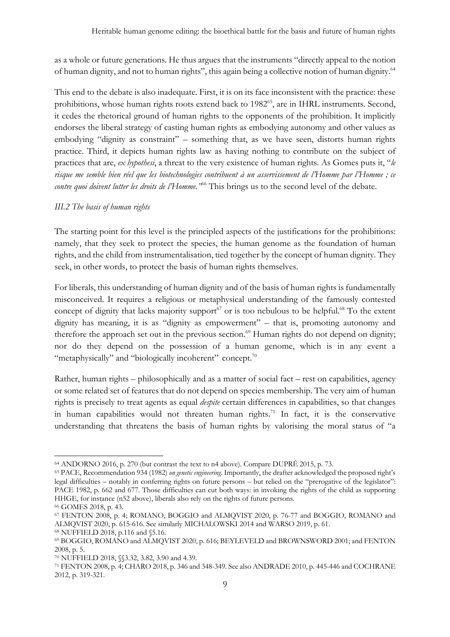as a whole or future generations. He thus argues that the instruments "directly appeal to the notion of human dignity, and not to human rights", this again being a collective notion of human dignity.64

This end to the debate is also inadequate. First, it is on its face inconsistent with the practice: these prohibitions, whose human rights roots extend back to 1982<sup>65</sup>, are in IHRL instruments. Second, it cedes the rhetorical ground of human rights to the opponents of the prohibition. It implicitly endorses the liberal strategy of casting human rights as embodying autonomy and other values as embodying "dignity as constraint" – something that, as we have seen, distorts human rights practice. Third, it depicts human rights law as having nothing to contribute on the subject of practices that are, *ex hypothesi*, a threat to the very existence of human rights. As Gomes puts it, "*le risque me semble bien réel que les biotechnologies contribuent à un asservissement de l'Homme par l'Homme ; ce contre quoi doivent lutter les droits de l'Homme."*<sup>66</sup> This brings us to the second level of the debate.

## *III.2 The basis of human rights*

The starting point for this level is the principled aspects of the justifications for the prohibitions: namely, that they seek to protect the species, the human genome as the foundation of human rights, and the child from instrumentalisation, tied together by the concept of human dignity. They seek, in other words, to protect the basis of human rights themselves.

For liberals, this understanding of human dignity and of the basis of human rights is fundamentally misconceived. It requires a religious or metaphysical understanding of the famously contested concept of dignity that lacks majority support $67$  or is too nebulous to be helpful. $68$  To the extent dignity has meaning, it is as "dignity as empowerment" – that is, promoting autonomy and therefore the approach set out in the previous section.<sup>69</sup> Human rights do not depend on dignity; nor do they depend on the possession of a human genome, which is in any event a "metaphysically" and "biologically incoherent" concept.<sup>70</sup>

Rather, human rights – philosophically and as a matter of social fact – rest on capabilities, agency or some related set of features that do not depend on species membership. The very aim of human rights is precisely to treat agents as equal *despite* certain differences in capabilities, so that changes in human capabilities would not threaten human rights.<sup>71</sup> In fact, it is the conservative understanding that threatens the basis of human rights by valorising the moral status of "a

<sup>64</sup> ANDORNO 2016, p. 270 (but contrast the text to n4 above). Compare DUPRÉ 2015, p. 73.

<sup>65</sup> PACE, Recommendation 934 (1982) *on genetic engineering*. Importantly, the drafter acknowledged the proposed right's legal difficulties – notably in conferring rights on future persons – but relied on the "prerogative of the legislator": PACE 1982, p. 662 and 677. Those difficulties can cut both ways: in invoking the rights of the child as supporting HHGE, for instance (n52 above), liberals also rely on the rights of future persons.

<sup>66</sup> GOMES 2018, p. 43.

<sup>67</sup> FENTON 2008, p. 4; ROMANO, BOGGIO and ALMQVIST 2020, p. 76-77 and BOGGIO, ROMANO and ALMQVIST 2020, p. 615-616. See similarly MICHALOWSKI 2014 and WARSO 2019, p. 61.

<sup>68</sup> NUFFIELD 2018, p.116 and §5.16.

<sup>69</sup> BOGGIO, ROMANO and ALMQVIST 2020, p. 616; BEYLEVELD and BROWNSWORD 2001; and FENTON 2008, p. 5.

<sup>70</sup> NUFFIELD 2018, §§3.32, 3.82, 3.90 and 4.39.

<sup>71</sup> FENTON 2008, p. 4; CHARO 2018, p. 346 and 348-349. See also ANDRADE 2010, p. 445-446 and COCHRANE 2012, p. 319-321.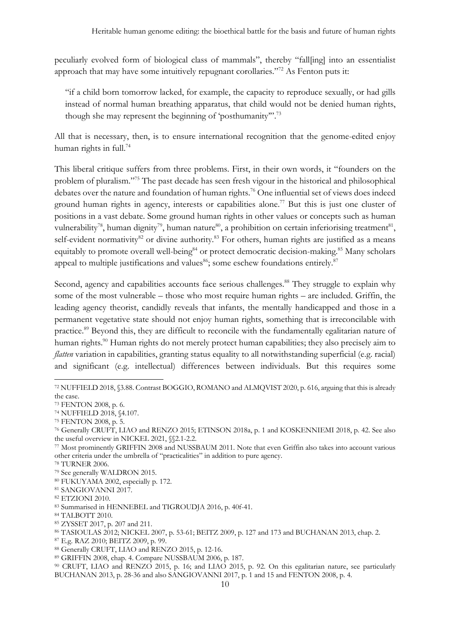peculiarly evolved form of biological class of mammals", thereby "fall[ing] into an essentialist approach that may have some intuitively repugnant corollaries."72 As Fenton puts it:

"if a child born tomorrow lacked, for example, the capacity to reproduce sexually, or had gills instead of normal human breathing apparatus, that child would not be denied human rights, though she may represent the beginning of 'posthumanity".<sup>73</sup>

All that is necessary, then, is to ensure international recognition that the genome-edited enjoy human rights in full.<sup>74</sup>

This liberal critique suffers from three problems. First, in their own words, it "founders on the problem of pluralism."75 The past decade has seen fresh vigour in the historical and philosophical debates over the nature and foundation of human rights.<sup>76</sup> One influential set of views does indeed ground human rights in agency, interests or capabilities alone.<sup>77</sup> But this is just one cluster of positions in a vast debate. Some ground human rights in other values or concepts such as human vulnerability<sup>78</sup>, human dignity<sup>79</sup>, human nature<sup>80</sup>, a prohibition on certain inferiorising treatment<sup>81</sup>, self-evident normativity<sup>82</sup> or divine authority.<sup>83</sup> For others, human rights are justified as a means equitably to promote overall well-being<sup>84</sup> or protect democratic decision-making.<sup>85</sup> Many scholars appeal to multiple justifications and values $^{86}$ ; some eschew foundations entirely. $^{87}$ 

Second, agency and capabilities accounts face serious challenges.<sup>88</sup> They struggle to explain why some of the most vulnerable – those who most require human rights – are included. Griffin, the leading agency theorist, candidly reveals that infants, the mentally handicapped and those in a permanent vegetative state should not enjoy human rights, something that is irreconcilable with practice.89 Beyond this, they are difficult to reconcile with the fundamentally egalitarian nature of human rights.<sup>90</sup> Human rights do not merely protect human capabilities; they also precisely aim to *flatten* variation in capabilities, granting status equality to all notwithstanding superficial (e.g. racial) and significant (e.g. intellectual) differences between individuals. But this requires some

<sup>80</sup> FUKUYAMA 2002, especially p. 172.

<sup>72</sup> NUFFIELD 2018, §3.88. Contrast BOGGIO, ROMANO and ALMQVIST 2020, p. 616, arguing that this is already the case.

<sup>73</sup> FENTON 2008, p. 6.

<sup>74</sup> NUFFIELD 2018, §4.107.

<sup>75</sup> FENTON 2008, p. 5.

<sup>76</sup> Generally CRUFT, LIAO and RENZO 2015; ETINSON 2018a, p. 1 and KOSKENNIEMI 2018, p. 42. See also the useful overview in NICKEL 2021, §§2.1-2.2.

<sup>77</sup> Most prominently GRIFFIN 2008 and NUSSBAUM 2011. Note that even Griffin also takes into account various other criteria under the umbrella of "practicalities" in addition to pure agency.

<sup>78</sup> TURNER 2006.

<sup>79</sup> See generally WALDRON 2015.

<sup>81</sup> SANGIOVANNI 2017.

<sup>82</sup> ETZIONI 2010.

<sup>83</sup> Summarised in HENNEBEL and TIGROUDJA 2016, p. 40f-41.

<sup>84</sup> TALBOTT 2010.

<sup>85</sup> ZYSSET 2017, p. 207 and 211.

<sup>86</sup> TASIOULAS 2012; NICKEL 2007, p. 53-61; BEITZ 2009, p. 127 and 173 and BUCHANAN 2013, chap. 2.

<sup>&</sup>lt;sup>87</sup> E.g. RAZ 2010; BEITZ 2009, p. 99.<br><sup>88</sup> Generally CRUFT, LIAO and RENZO 2015, p. 12-16.

<sup>89</sup> GRIFFIN 2008, chap. 4. Compare NUSSBAUM 2006, p. 187.

<sup>90</sup> CRUFT, LIAO and RENZO 2015, p. 16; and LIAO 2015, p. 92. On this egalitarian nature, see particularly BUCHANAN 2013, p. 28-36 and also SANGIOVANNI 2017, p. 1 and 15 and FENTON 2008, p. 4.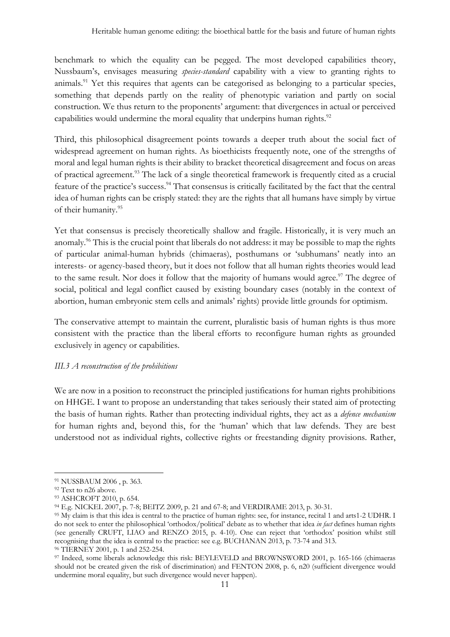benchmark to which the equality can be pegged. The most developed capabilities theory, Nussbaum's, envisages measuring *species-standard* capability with a view to granting rights to animals.<sup>91</sup> Yet this requires that agents can be categorised as belonging to a particular species, something that depends partly on the reality of phenotypic variation and partly on social construction. We thus return to the proponents' argument: that divergences in actual or perceived capabilities would undermine the moral equality that underpins human rights.<sup>92</sup>

Third, this philosophical disagreement points towards a deeper truth about the social fact of widespread agreement on human rights. As bioethicists frequently note, one of the strengths of moral and legal human rights is their ability to bracket theoretical disagreement and focus on areas of practical agreement.93 The lack of a single theoretical framework is frequently cited as a crucial feature of the practice's success.<sup>94</sup> That consensus is critically facilitated by the fact that the central idea of human rights can be crisply stated: they are the rights that all humans have simply by virtue of their humanity.95

Yet that consensus is precisely theoretically shallow and fragile. Historically, it is very much an anomaly.<sup>96</sup> This is the crucial point that liberals do not address: it may be possible to map the rights of particular animal-human hybrids (chimaeras), posthumans or 'subhumans' neatly into an interests- or agency-based theory, but it does not follow that all human rights theories would lead to the same result. Nor does it follow that the majority of humans would agree.<sup>97</sup> The degree of social, political and legal conflict caused by existing boundary cases (notably in the context of abortion, human embryonic stem cells and animals' rights) provide little grounds for optimism.

The conservative attempt to maintain the current, pluralistic basis of human rights is thus more consistent with the practice than the liberal efforts to reconfigure human rights as grounded exclusively in agency or capabilities.

## *III.3 A reconstruction of the prohibitions*

We are now in a position to reconstruct the principled justifications for human rights prohibitions on HHGE. I want to propose an understanding that takes seriously their stated aim of protecting the basis of human rights. Rather than protecting individual rights, they act as a *defence mechanism* for human rights and, beyond this, for the 'human' which that law defends. They are best understood not as individual rights, collective rights or freestanding dignity provisions. Rather,

<sup>91</sup> NUSSBAUM 2006 , p. 363.

<sup>92</sup> Text to n26 above.

<sup>93</sup> ASHCROFT 2010, p. 654.

<sup>94</sup> E.g. NICKEL 2007, p. 7-8; BEITZ 2009, p. 21 and 67-8; and VERDIRAME 2013, p. 30-31.

<sup>95</sup> My claim is that this idea is central to the practice of human rights: see, for instance, recital 1 and arts1-2 UDHR. I do not seek to enter the philosophical 'orthodox/political' debate as to whether that idea *in fact* defines human rights (see generally CRUFT, LIAO and RENZO 2015, p. 4-10). One can reject that 'orthodox' position whilst still recognising that the idea is central to the practice: see e.g. BUCHANAN 2013, p. 73-74 and 313.

<sup>96</sup> TIERNEY 2001, p. 1 and 252-254.

<sup>97</sup> Indeed, some liberals acknowledge this risk: BEYLEVELD and BROWNSWORD 2001, p. 165-166 (chimaeras should not be created given the risk of discrimination) and FENTON 2008, p. 6, n20 (sufficient divergence would undermine moral equality, but such divergence would never happen).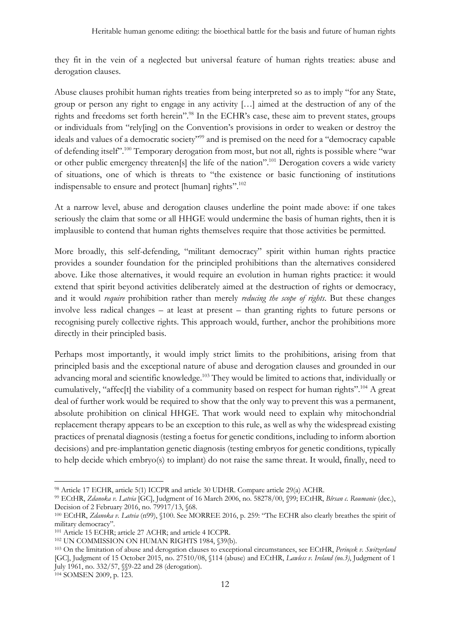they fit in the vein of a neglected but universal feature of human rights treaties: abuse and derogation clauses.

Abuse clauses prohibit human rights treaties from being interpreted so as to imply "for any State, group or person any right to engage in any activity […] aimed at the destruction of any of the rights and freedoms set forth herein".<sup>98</sup> In the ECHR's case, these aim to prevent states, groups or individuals from "rely[ing] on the Convention's provisions in order to weaken or destroy the ideals and values of a democratic society"<sup>99</sup> and is premised on the need for a "democracy capable" of defending itself".100 Temporary derogation from most, but not all, rights is possible where "war or other public emergency threaten[s] the life of the nation".101 Derogation covers a wide variety of situations, one of which is threats to "the existence or basic functioning of institutions indispensable to ensure and protect [human] rights".<sup>102</sup>

At a narrow level, abuse and derogation clauses underline the point made above: if one takes seriously the claim that some or all HHGE would undermine the basis of human rights, then it is implausible to contend that human rights themselves require that those activities be permitted.

More broadly, this self-defending, "militant democracy" spirit within human rights practice provides a sounder foundation for the principled prohibitions than the alternatives considered above. Like those alternatives, it would require an evolution in human rights practice: it would extend that spirit beyond activities deliberately aimed at the destruction of rights or democracy, and it would *require* prohibition rather than merely *reducing the scope of rights*. But these changes involve less radical changes – at least at present – than granting rights to future persons or recognising purely collective rights. This approach would, further, anchor the prohibitions more directly in their principled basis.

Perhaps most importantly, it would imply strict limits to the prohibitions, arising from that principled basis and the exceptional nature of abuse and derogation clauses and grounded in our advancing moral and scientific knowledge.103 They would be limited to actions that, individually or cumulatively, "affec[t] the viability of a community based on respect for human rights".104 A great deal of further work would be required to show that the only way to prevent this was a permanent, absolute prohibition on clinical HHGE. That work would need to explain why mitochondrial replacement therapy appears to be an exception to this rule, as well as why the widespread existing practices of prenatal diagnosis (testing a foetus for genetic conditions, including to inform abortion decisions) and pre-implantation genetic diagnosis (testing embryos for genetic conditions, typically to help decide which embryo(s) to implant) do not raise the same threat. It would, finally, need to

<sup>98</sup> Article 17 ECHR, article 5(1) ICCPR and article 30 UDHR. Compare article 29(a) ACHR.

<sup>99</sup> ECtHR, *Zdanoka v. Latvia* [GC], Judgment of 16 March 2006, no. 58278/00, §99; ECtHR, *Bîrsan c. Roumanie* (dec.), Decision of 2 February 2016, no. 79917/13, §68.

<sup>100</sup> ECtHR, *Zdanoka v. Latvia* (n99), §100. See MORREE 2016, p. 259: "The ECHR also clearly breathes the spirit of military democracy".

<sup>&</sup>lt;sup>101</sup> Article 15 ECHR; article 27 ACHR; and article 4 ICCPR.<br><sup>102</sup> UN COMMISSION ON HUMAN RIGHTS 1984, §39(b).<br><sup>103</sup> On the limitation of abuse and derogation clauses to exceptional circumstances, see ECtHR, *Perinçek v. S* [GC], Judgment of 15 October 2015, no. 27510/08, §114 (abuse) and ECtHR, *Lawless v. Ireland (no.3)*, Judgment of 1 July 1961, no. 332/57, §§9-22 and 28 (derogation).

<sup>104</sup> SOMSEN 2009, p. 123.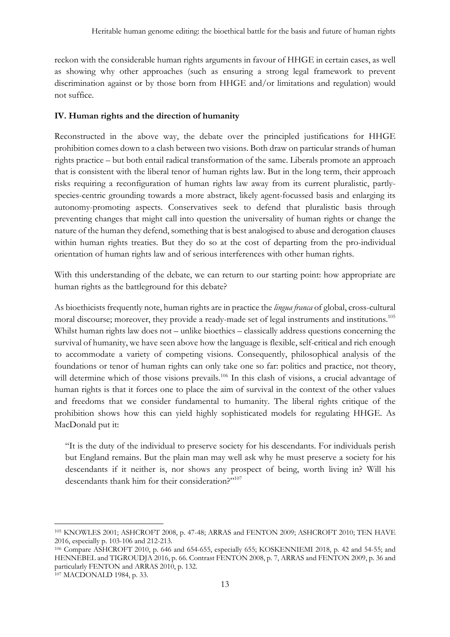reckon with the considerable human rights arguments in favour of HHGE in certain cases, as well as showing why other approaches (such as ensuring a strong legal framework to prevent discrimination against or by those born from HHGE and/or limitations and regulation) would not suffice.

## **IV. Human rights and the direction of humanity**

Reconstructed in the above way, the debate over the principled justifications for HHGE prohibition comes down to a clash between two visions. Both draw on particular strands of human rights practice – but both entail radical transformation of the same. Liberals promote an approach that is consistent with the liberal tenor of human rights law. But in the long term, their approach risks requiring a reconfiguration of human rights law away from its current pluralistic, partlyspecies-centric grounding towards a more abstract, likely agent-focussed basis and enlarging its autonomy-promoting aspects. Conservatives seek to defend that pluralistic basis through preventing changes that might call into question the universality of human rights or change the nature of the human they defend, something that is best analogised to abuse and derogation clauses within human rights treaties. But they do so at the cost of departing from the pro-individual orientation of human rights law and of serious interferences with other human rights.

With this understanding of the debate, we can return to our starting point: how appropriate are human rights as the battleground for this debate?

As bioethicists frequently note, human rights are in practice the *lingua franca* of global, cross-cultural moral discourse; moreover, they provide a ready-made set of legal instruments and institutions.105 Whilst human rights law does not – unlike bioethics – classically address questions concerning the survival of humanity, we have seen above how the language is flexible, self-critical and rich enough to accommodate a variety of competing visions. Consequently, philosophical analysis of the foundations or tenor of human rights can only take one so far: politics and practice, not theory, will determine which of those visions prevails.<sup>106</sup> In this clash of visions, a crucial advantage of human rights is that it forces one to place the aim of survival in the context of the other values and freedoms that we consider fundamental to humanity. The liberal rights critique of the prohibition shows how this can yield highly sophisticated models for regulating HHGE. As MacDonald put it:

"It is the duty of the individual to preserve society for his descendants. For individuals perish but England remains. But the plain man may well ask why he must preserve a society for his descendants if it neither is, nor shows any prospect of being, worth living in? Will his descendants thank him for their consideration?"<sup>107</sup>

<sup>105</sup> KNOWLES 2001; ASHCROFT 2008, p. 47-48; ARRAS and FENTON 2009; ASHCROFT 2010; TEN HAVE 2016, especially p. 103-106 and 212-213.

<sup>106</sup> Compare ASHCROFT 2010, p. 646 and 654-655, especially 655; KOSKENNIEMI 2018, p. 42 and 54-55; and HENNEBEL and TIGROUDJA 2016, p. 66. Contrast FENTON 2008, p. 7, ARRAS and FENTON 2009, p. 36 and particularly FENTON and ARRAS 2010, p. 132.<br><sup>107</sup> MACDONALD 1984, p. 33.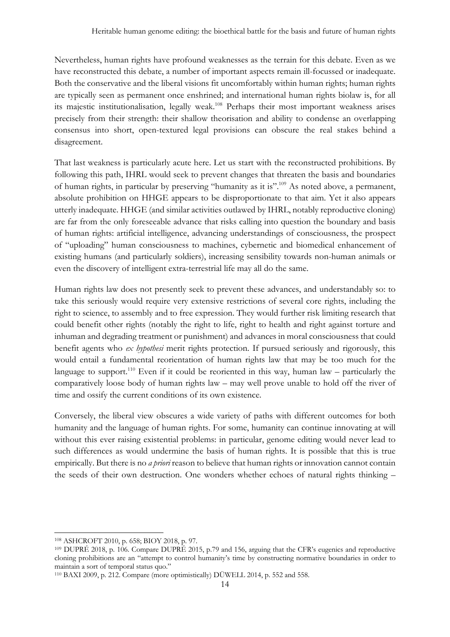Nevertheless, human rights have profound weaknesses as the terrain for this debate. Even as we have reconstructed this debate, a number of important aspects remain ill-focussed or inadequate. Both the conservative and the liberal visions fit uncomfortably within human rights; human rights are typically seen as permanent once enshrined; and international human rights biolaw is, for all its majestic institutionalisation, legally weak. <sup>108</sup> Perhaps their most important weakness arises precisely from their strength: their shallow theorisation and ability to condense an overlapping consensus into short, open-textured legal provisions can obscure the real stakes behind a disagreement.

That last weakness is particularly acute here. Let us start with the reconstructed prohibitions. By following this path, IHRL would seek to prevent changes that threaten the basis and boundaries of human rights, in particular by preserving "humanity as it is".<sup>109</sup> As noted above, a permanent, absolute prohibition on HHGE appears to be disproportionate to that aim. Yet it also appears utterly inadequate. HHGE (and similar activities outlawed by IHRL, notably reproductive cloning) are far from the only foreseeable advance that risks calling into question the boundary and basis of human rights: artificial intelligence, advancing understandings of consciousness, the prospect of "uploading" human consciousness to machines, cybernetic and biomedical enhancement of existing humans (and particularly soldiers), increasing sensibility towards non-human animals or even the discovery of intelligent extra-terrestrial life may all do the same.

Human rights law does not presently seek to prevent these advances, and understandably so: to take this seriously would require very extensive restrictions of several core rights, including the right to science, to assembly and to free expression. They would further risk limiting research that could benefit other rights (notably the right to life, right to health and right against torture and inhuman and degrading treatment or punishment) and advances in moral consciousness that could benefit agents who *ex hypothesi* merit rights protection. If pursued seriously and rigorously, this would entail a fundamental reorientation of human rights law that may be too much for the language to support.<sup>110</sup> Even if it could be reoriented in this way, human law – particularly the comparatively loose body of human rights law – may well prove unable to hold off the river of time and ossify the current conditions of its own existence.

Conversely, the liberal view obscures a wide variety of paths with different outcomes for both humanity and the language of human rights. For some, humanity can continue innovating at will without this ever raising existential problems: in particular, genome editing would never lead to such differences as would undermine the basis of human rights. It is possible that this is true empirically. But there is no *a priori* reason to believe that human rights or innovation cannot contain the seeds of their own destruction. One wonders whether echoes of natural rights thinking –

<sup>108</sup> ASHCROFT 2010, p. 658; BIOY 2018, p. 97.

<sup>109</sup> DUPRÉ 2018, p. 106. Compare DUPRÉ 2015, p.79 and 156, arguing that the CFR's eugenics and reproductive cloning prohibitions are an "attempt to control humanity's time by constructing normative boundaries in order to maintain a sort of temporal status quo."

<sup>110</sup> BAXI 2009, p. 212. Compare (more optimistically) DÜWELL 2014, p. 552 and 558.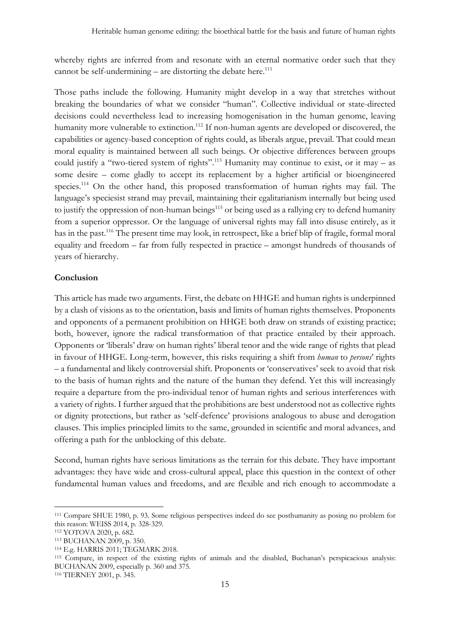whereby rights are inferred from and resonate with an eternal normative order such that they cannot be self-undermining  $-$  are distorting the debate here.<sup>111</sup>

Those paths include the following. Humanity might develop in a way that stretches without breaking the boundaries of what we consider "human". Collective individual or state-directed decisions could nevertheless lead to increasing homogenisation in the human genome, leaving humanity more vulnerable to extinction.<sup>112</sup> If non-human agents are developed or discovered, the capabilities or agency-based conception of rights could, as liberals argue, prevail. That could mean moral equality is maintained between all such beings. Or objective differences between groups could justify a "two-tiered system of rights".<sup>113</sup> Humanity may continue to exist, or it may – as some desire – come gladly to accept its replacement by a higher artificial or bioengineered species.114 On the other hand, this proposed transformation of human rights may fail. The language's speciesist strand may prevail, maintaining their egalitarianism internally but being used to justify the oppression of non-human beings<sup>115</sup> or being used as a rallying cry to defend humanity from a superior oppressor. Or the language of universal rights may fall into disuse entirely, as it has in the past.116 The present time may look, in retrospect, like a brief blip of fragile, formal moral equality and freedom – far from fully respected in practice – amongst hundreds of thousands of years of hierarchy.

## **Conclusion**

This article has made two arguments. First, the debate on HHGE and human rights is underpinned by a clash of visions as to the orientation, basis and limits of human rights themselves. Proponents and opponents of a permanent prohibition on HHGE both draw on strands of existing practice; both, however, ignore the radical transformation of that practice entailed by their approach. Opponents or 'liberals' draw on human rights' liberal tenor and the wide range of rights that plead in favour of HHGE. Long-term, however, this risks requiring a shift from *human* to *persons*' rights – a fundamental and likely controversial shift. Proponents or 'conservatives' seek to avoid that risk to the basis of human rights and the nature of the human they defend. Yet this will increasingly require a departure from the pro-individual tenor of human rights and serious interferences with a variety of rights. I further argued that the prohibitions are best understood not as collective rights or dignity protections, but rather as 'self-defence' provisions analogous to abuse and derogation clauses. This implies principled limits to the same, grounded in scientific and moral advances, and offering a path for the unblocking of this debate.

Second, human rights have serious limitations as the terrain for this debate. They have important advantages: they have wide and cross-cultural appeal, place this question in the context of other fundamental human values and freedoms, and are flexible and rich enough to accommodate a

<sup>111</sup> Compare SHUE 1980, p. 93. Some religious perspectives indeed do see posthumanity as posing no problem for this reason: WEISS 2014, p. 328-329.

<sup>112</sup> YOTOVA 2020, p. 682.

<sup>113</sup> BUCHANAN 2009, p. 350.

<sup>114</sup> E.g. HARRIS 2011; TEGMARK 2018.

<sup>115</sup> Compare, in respect of the existing rights of animals and the disabled, Buchanan's perspicacious analysis: BUCHANAN 2009, especially p. 360 and 375. 116 TIERNEY 2001, p. 345.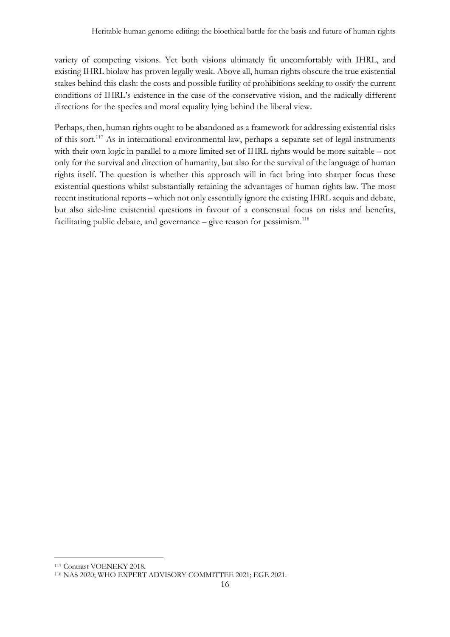variety of competing visions. Yet both visions ultimately fit uncomfortably with IHRL, and existing IHRL biolaw has proven legally weak. Above all, human rights obscure the true existential stakes behind this clash: the costs and possible futility of prohibitions seeking to ossify the current conditions of IHRL's existence in the case of the conservative vision, and the radically different directions for the species and moral equality lying behind the liberal view.

Perhaps, then, human rights ought to be abandoned as a framework for addressing existential risks of this sort.<sup>117</sup> As in international environmental law, perhaps a separate set of legal instruments with their own logic in parallel to a more limited set of IHRL rights would be more suitable – not only for the survival and direction of humanity, but also for the survival of the language of human rights itself. The question is whether this approach will in fact bring into sharper focus these existential questions whilst substantially retaining the advantages of human rights law. The most recent institutional reports – which not only essentially ignore the existing IHRL acquis and debate, but also side-line existential questions in favour of a consensual focus on risks and benefits, facilitating public debate, and governance  $-$  give reason for pessimism.<sup>118</sup>

<sup>117</sup> Contrast VOENEKY 2018.

<sup>118</sup> NAS 2020; WHO EXPERT ADVISORY COMMITTEE 2021; EGE 2021.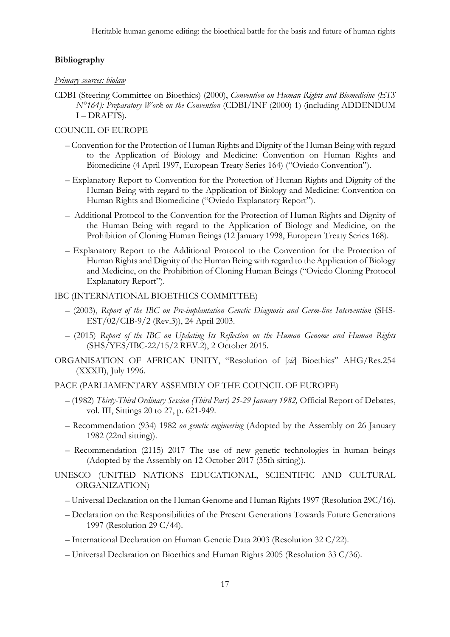## **Bibliography**

### *Primary sources: biolaw*

CDBI (Steering Committee on Bioethics) (2000), *Convention on Human Rights and Biomedicine (ETS N°164): Preparatory Work on the Convention* (CDBI/INF (2000) 1) (including ADDENDUM I – DRAFTS).

## COUNCIL OF EUROPE

- Convention for the Protection of Human Rights and Dignity of the Human Being with regard to the Application of Biology and Medicine: Convention on Human Rights and Biomedicine (4 April 1997, European Treaty Series 164) ("Oviedo Convention").
- Explanatory Report to Convention for the Protection of Human Rights and Dignity of the Human Being with regard to the Application of Biology and Medicine: Convention on Human Rights and Biomedicine ("Oviedo Explanatory Report").
- Additional Protocol to the Convention for the Protection of Human Rights and Dignity of the Human Being with regard to the Application of Biology and Medicine, on the Prohibition of Cloning Human Beings (12 January 1998, European Treaty Series 168).
- Explanatory Report to the Additional Protocol to the Convention for the Protection of Human Rights and Dignity of the Human Being with regard to the Application of Biology and Medicine, on the Prohibition of Cloning Human Beings ("Oviedo Cloning Protocol Explanatory Report").

## IBC (INTERNATIONAL BIOETHICS COMMITTEE)

- (2003), *Report of the IBC on Pre-implantation Genetic Diagnosis and Germ-line Intervention* (SHS-EST/02/CIB-9/2 (Rev.3)), 24 April 2003.
- (2015) *Report of the IBC on Updating Its Reflection on the Human Genome and Human Rights*  (SHS/YES/IBC-22/15/2 REV.2), 2 October 2015.
- ORGANISATION OF AFRICAN UNITY, "Resolution of [*sic*] Bioethics" AHG/Res.254 (XXXII), July 1996.
- PACE (PARLIAMENTARY ASSEMBLY OF THE COUNCIL OF EUROPE)
	- (1982) *Thirty-Third Ordinary Session (Third Part) 25-29 January 1982,* Official Report of Debates, vol. III, Sittings 20 to 27, p. 621-949.
	- Recommendation (934) 1982 *on genetic engineering* (Adopted by the Assembly on 26 January 1982 (22nd sitting)).
	- Recommendation (2115) 2017 The use of new genetic technologies in human beings (Adopted by the Assembly on 12 October 2017 (35th sitting)).
- UNESCO (UNITED NATIONS EDUCATIONAL, SCIENTIFIC AND CULTURAL ORGANIZATION)
	- Universal Declaration on the Human Genome and Human Rights 1997 (Resolution 29C/16).
	- Declaration on the Responsibilities of the Present Generations Towards Future Generations 1997 (Resolution 29 C/44).
	- International Declaration on Human Genetic Data 2003 (Resolution 32 C/22).
	- Universal Declaration on Bioethics and Human Rights 2005 (Resolution 33 C/36).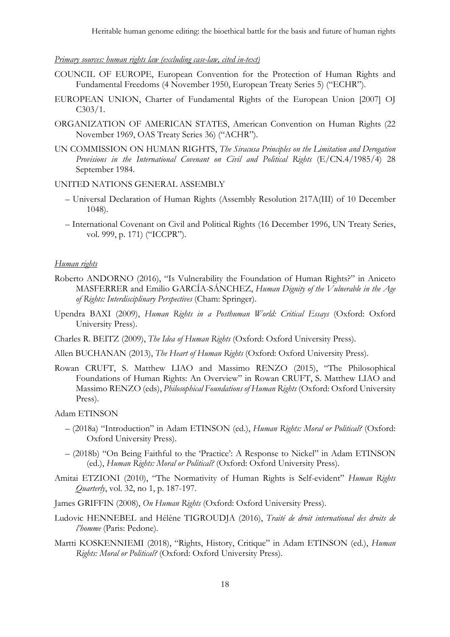#### *Primary sources: human rights law (excluding case-law, cited in-text)*

- COUNCIL OF EUROPE, European Convention for the Protection of Human Rights and Fundamental Freedoms (4 November 1950, European Treaty Series 5) ("ECHR").
- EUROPEAN UNION, Charter of Fundamental Rights of the European Union [2007] OJ C303/1.
- ORGANIZATION OF AMERICAN STATES, American Convention on Human Rights (22 November 1969, OAS Treaty Series 36) ("ACHR").
- UN COMMISSION ON HUMAN RIGHTS, *The Siracusa Principles on the Limitation and Derogation Provisions in the International Covenant on Civil and Political Rights* (E/CN.4/1985/4) 28 September 1984.

#### UNITED NATIONS GENERAL ASSEMBLY

- Universal Declaration of Human Rights (Assembly Resolution 217A(III) of 10 December 1048).
- International Covenant on Civil and Political Rights (16 December 1996, UN Treaty Series, vol. 999, p. 171) ("ICCPR").

#### *Human rights*

- Roberto ANDORNO (2016), "Is Vulnerability the Foundation of Human Rights?" in Aniceto MASFERRER and Emilio GARCÍA-SÁNCHEZ, *Human Dignity of the Vulnerable in the Age of Rights: Interdisciplinary Perspectives* (Cham: Springer).
- Upendra BAXI (2009), *Human Rights in a Posthuman World: Critical Essays* (Oxford: Oxford University Press).
- Charles R. BEITZ (2009), *The Idea of Human Rights* (Oxford: Oxford University Press).
- Allen BUCHANAN (2013), *The Heart of Human Rights* (Oxford: Oxford University Press).
- Rowan CRUFT, S. Matthew LIAO and Massimo RENZO (2015), "The Philosophical Foundations of Human Rights: An Overview" in Rowan CRUFT, S. Matthew LIAO and Massimo RENZO (eds), *Philosophical Foundations of Human Rights* (Oxford: Oxford University Press).

Adam ETINSON

- (2018a) "Introduction" in Adam ETINSON (ed.), *Human Rights: Moral or Political?* (Oxford: Oxford University Press).
- (2018b) "On Being Faithful to the 'Practice': A Response to Nickel" in Adam ETINSON (ed.), *Human Rights: Moral or Political?* (Oxford: Oxford University Press).
- Amitai ETZIONI (2010), "The Normativity of Human Rights is Self-evident" *Human Rights Quarterly*, vol. 32, no 1, p. 187-197.
- James GRIFFIN (2008), *On Human Rights* (Oxford: Oxford University Press).
- Ludovic HENNEBEL and Hélène TIGROUDJA (2016), *Traité de droit international des droits de l'homme* (Paris: Pedone).
- Martti KOSKENNIEMI (2018), "Rights, History, Critique" in Adam ETINSON (ed.), *Human Rights: Moral or Political?* (Oxford: Oxford University Press).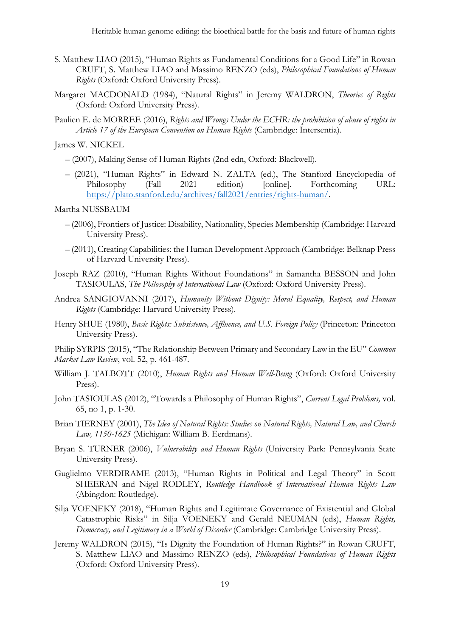- S. Matthew LIAO (2015), "Human Rights as Fundamental Conditions for a Good Life" in Rowan CRUFT, S. Matthew LIAO and Massimo RENZO (eds), *Philosophical Foundations of Human Rights* (Oxford: Oxford University Press).
- Margaret MACDONALD (1984), "Natural Rights" in Jeremy WALDRON, *Theories of Rights*  (Oxford: Oxford University Press).
- Paulien E. de MORREE (2016), *Rights and Wrongs Under the ECHR: the prohibition of abuse of rights in Article 17 of the European Convention on Human Rights* (Cambridge: Intersentia).

James W. NICKEL

- (2007), Making Sense of Human Rights (2nd edn, Oxford: Blackwell).
- (2021), "Human Rights" in Edward N. ZALTA (ed.), The Stanford Encyclopedia of Philosophy (Fall 2021 edition) [online]. Forthcoming URL: https://plato.stanford.edu/archives/fall2021/entries/rights-human/.

Martha NUSSBAUM

- (2006), Frontiers of Justice: Disability, Nationality, Species Membership (Cambridge: Harvard University Press).
- (2011), Creating Capabilities: the Human Development Approach (Cambridge: Belknap Press of Harvard University Press).
- Joseph RAZ (2010), "Human Rights Without Foundations" in Samantha BESSON and John TASIOULAS, *The Philosophy of International Law* (Oxford: Oxford University Press).
- Andrea SANGIOVANNI (2017), *Humanity Without Dignity: Moral Equality, Respect, and Human Rights* (Cambridge: Harvard University Press).
- Henry SHUE (1980), *Basic Rights: Subsistence, Affluence, and U.S. Foreign Policy* (Princeton: Princeton University Press).

Philip SYRPIS (2015), "The Relationship Between Primary and Secondary Law in the EU" *Common Market Law Review*, vol. 52, p. 461-487.

- William J. TALBOTT (2010), *Human Rights and Human Well-Being* (Oxford: Oxford University Press).
- John TASIOULAS (2012), "Towards a Philosophy of Human Rights", *Current Legal Problems,* vol. 65, no 1, p. 1-30.
- Brian TIERNEY (2001), *The Idea of Natural Rights: Studies on Natural Rights, Natural Law, and Church Law, 1150-1625* (Michigan: William B. Eerdmans).
- Bryan S. TURNER (2006), *Vulnerability and Human Rights* (University Park: Pennsylvania State University Press).
- Guglielmo VERDIRAME (2013), "Human Rights in Political and Legal Theory" in Scott SHEERAN and Nigel RODLEY, *Routledge Handbook of International Human Rights Law*  (Abingdon: Routledge).
- Silja VOENEKY (2018), "Human Rights and Legitimate Governance of Existential and Global Catastrophic Risks" in Silja VOENEKY and Gerald NEUMAN (eds), *Human Rights, Democracy, and Legitimacy in a World of Disorder* (Cambridge: Cambridge University Press).
- Jeremy WALDRON (2015), "Is Dignity the Foundation of Human Rights?" in Rowan CRUFT, S. Matthew LIAO and Massimo RENZO (eds), *Philosophical Foundations of Human Rights*  (Oxford: Oxford University Press).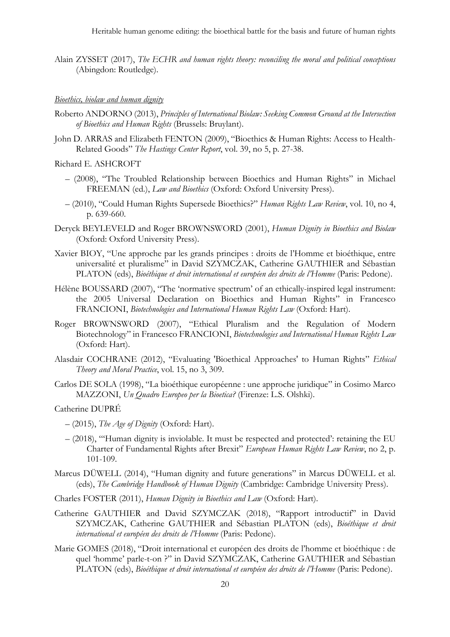Alain ZYSSET (2017), *The ECHR and human rights theory: reconciling the moral and political conceptions*  (Abingdon: Routledge).

#### *Bioethics, biolaw and human dignity*

- Roberto ANDORNO (2013), *Principles of International Biolaw: Seeking Common Ground at the Intersection of Bioethics and Human Rights* (Brussels: Bruylant).
- John D. ARRAS and Elizabeth FENTON (2009), "Bioethics & Human Rights: Access to Health-Related Goods" *The Hastings Center Report*, vol. 39, no 5, p. 27-38.
- Richard E. ASHCROFT
	- (2008), "The Troubled Relationship between Bioethics and Human Rights" in Michael FREEMAN (ed.), *Law and Bioethics* (Oxford: Oxford University Press).
	- (2010), "Could Human Rights Supersede Bioethics?" *Human Rights Law Review*, vol. 10, no 4, p. 639-660.
- Deryck BEYLEVELD and Roger BROWNSWORD (2001), *Human Dignity in Bioethics and Biolaw* (Oxford: Oxford University Press).
- Xavier BIOY, "Une approche par les grands principes : droits de l'Homme et bioéthique, entre universalité et pluralisme" in David SZYMCZAK, Catherine GAUTHIER and Sébastian PLATON (eds), *Bioéthique et droit international et européen des droits de l'Homme* (Paris: Pedone).
- Hélène BOUSSARD (2007), "The 'normative spectrum' of an ethically-inspired legal instrument: the 2005 Universal Declaration on Bioethics and Human Rights" in Francesco FRANCIONI, *Biotechnologies and International Human Rights Law* (Oxford: Hart).
- Roger BROWNSWORD (2007), "Ethical Pluralism and the Regulation of Modern Biotechnology" in Francesco FRANCIONI, *Biotechnologies and International Human Rights Law*  (Oxford: Hart).
- Alasdair COCHRANE (2012), "Evaluating 'Bioethical Approaches' to Human Rights" *Ethical Theory and Moral Practice*, vol. 15, no 3, 309.
- Carlos DE SOLA (1998), "La bioéthique européenne : une approche juridique" in Cosimo Marco MAZZONI, *Un Quadro Europeo per la Bioetica?* (Firenze: L.S. Olshki).

#### Catherine DUPRÉ

- (2015), *The Age of Dignity* (Oxford: Hart).
- (2018), "'Human dignity is inviolable. It must be respected and protected': retaining the EU Charter of Fundamental Rights after Brexit" *European Human Rights Law Review*, no 2, p. 101-109.
- Marcus DÜWELL (2014), "Human dignity and future generations" in Marcus DÜWELL et al. (eds), *The Cambridge Handbook of Human Dignity* (Cambridge: Cambridge University Press).

Charles FOSTER (2011), *Human Dignity in Bioethics and Law* (Oxford: Hart).

- Catherine GAUTHIER and David SZYMCZAK (2018), "Rapport introductif" in David SZYMCZAK, Catherine GAUTHIER and Sébastian PLATON (eds), *Bioéthique et droit international et européen des droits de l'Homme* (Paris: Pedone).
- Marie GOMES (2018), "Droit international et européen des droits de l'homme et bioéthique : de quel 'homme' parle-t-on ?" in David SZYMCZAK, Catherine GAUTHIER and Sébastian PLATON (eds), *Bioéthique et droit international et européen des droits de l'Homme* (Paris: Pedone).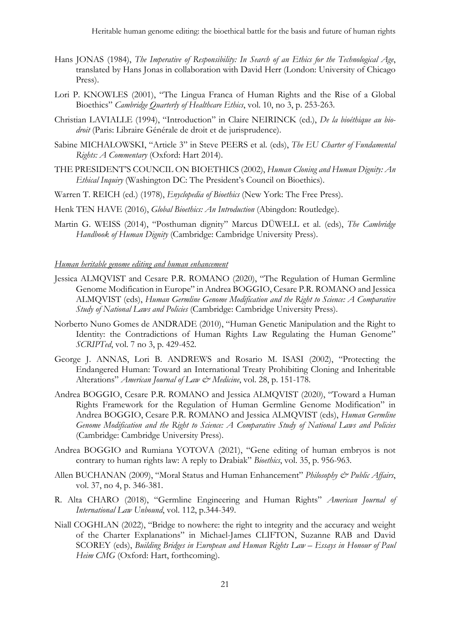- Hans JONAS (1984), *The Imperative of Responsibility: In Search of an Ethics for the Technological Age*, translated by Hans Jonas in collaboration with David Herr (London: University of Chicago Press).
- Lori P. KNOWLES (2001), "The Lingua Franca of Human Rights and the Rise of a Global Bioethics" *Cambridge Quarterly of Healthcare Ethics*, vol. 10, no 3, p. 253-263.
- Christian LAVIALLE (1994), "Introduction" in Claire NEIRINCK (ed.), *De la bioéthique au biodroit* (Paris: Libraire Générale de droit et de jurisprudence).
- Sabine MICHALOWSKI, "Article 3" in Steve PEERS et al. (eds), *The EU Charter of Fundamental Rights: A Commentary* (Oxford: Hart 2014).
- THE PRESIDENT'S COUNCIL ON BIOETHICS (2002), *Human Cloning and Human Dignity: An Ethical Inquiry* (Washington DC: The President's Council on Bioethics).
- Warren T. REICH (ed.) (1978), *Enyclopedia of Bioethics* (New York: The Free Press).
- Henk TEN HAVE (2016), *Global Bioethics: An Introduction* (Abingdon: Routledge).
- Martin G. WEISS (2014), "Posthuman dignity" Marcus DÜWELL et al. (eds), *The Cambridge Handbook of Human Dignity* (Cambridge: Cambridge University Press).

## *Human heritable genome editing and human enhancement*

- Jessica ALMQVIST and Cesare P.R. ROMANO (2020), "The Regulation of Human Germline Genome Modification in Europe" in Andrea BOGGIO, Cesare P.R. ROMANO and Jessica ALMQVIST (eds), *Human Germline Genome Modification and the Right to Science: A Comparative Study of National Laws and Policies* (Cambridge: Cambridge University Press).
- Norberto Nuno Gomes de ANDRADE (2010), "Human Genetic Manipulation and the Right to Identity: the Contradictions of Human Rights Law Regulating the Human Genome" *SCRIPTed*, vol. 7 no 3, p. 429-452.
- George J. ANNAS, Lori B. ANDREWS and Rosario M. ISASI (2002), "Protecting the Endangered Human: Toward an International Treaty Prohibiting Cloning and Inheritable Alterations" *American Journal of Law & Medicine*, vol. 28, p. 151-178.
- Andrea BOGGIO, Cesare P.R. ROMANO and Jessica ALMQVIST (2020), "Toward a Human Rights Framework for the Regulation of Human Germline Genome Modification" in Andrea BOGGIO, Cesare P.R. ROMANO and Jessica ALMQVIST (eds), *Human Germline Genome Modification and the Right to Science: A Comparative Study of National Laws and Policies*  (Cambridge: Cambridge University Press).
- Andrea BOGGIO and Rumiana YOTOVA (2021), "Gene editing of human embryos is not contrary to human rights law: A reply to Drabiak" *Bioethics*, vol. 35, p. 956-963.
- Allen BUCHANAN (2009), "Moral Status and Human Enhancement" *Philosophy & Public Affairs*, vol. 37, no 4, p. 346-381.
- R. Alta CHARO (2018), "Germline Engineering and Human Rights" *American Journal of International Law Unbound*, vol. 112, p.344-349.
- Niall COGHLAN (2022), "Bridge to nowhere: the right to integrity and the accuracy and weight of the Charter Explanations" in Michael-James CLIFTON, Suzanne RAB and David SCOREY (eds), *Building Bridges in European and Human Rights Law – Essays in Honour of Paul Heim CMG* (Oxford: Hart, forthcoming).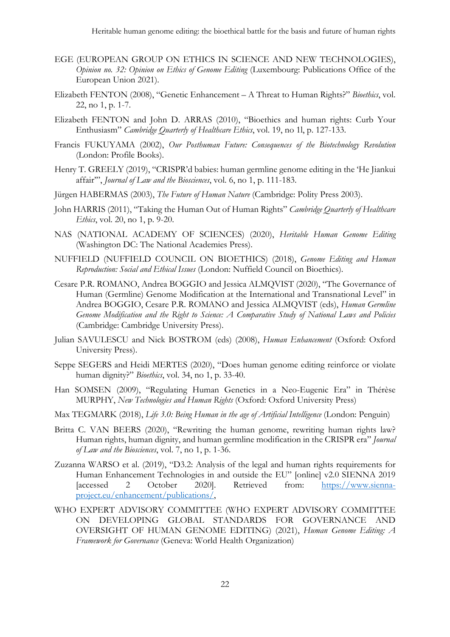- EGE (EUROPEAN GROUP ON ETHICS IN SCIENCE AND NEW TECHNOLOGIES), *Opinion no. 32: Opinion on Ethics of Genome Editing* (Luxembourg: Publications Office of the European Union 2021).
- Elizabeth FENTON (2008), "Genetic Enhancement A Threat to Human Rights?" *Bioethics*, vol. 22, no 1, p. 1-7.
- Elizabeth FENTON and John D. ARRAS (2010), "Bioethics and human rights: Curb Your Enthusiasm" *Cambridge Quarterly of Healthcare Ethics*, vol. 19, no 1l, p. 127-133.
- Francis FUKUYAMA (2002), *Our Posthuman Future: Consequences of the Biotechnology Revolution*  (London: Profile Books).
- Henry T. GREELY (2019), "CRISPR'd babies: human germline genome editing in the 'He Jiankui affair'", *Journal of Law and the Biosciences*, vol. 6, no 1, p. 111-183.
- Jürgen HABERMAS (2003), *The Future of Human Nature* (Cambridge: Polity Press 2003).
- John HARRIS (2011), "Taking the Human Out of Human Rights" *Cambridge Quarterly of Healthcare Ethics*, vol. 20, no 1, p. 9-20.
- NAS (NATIONAL ACADEMY OF SCIENCES) (2020), *Heritable Human Genome Editing*  (Washington DC: The National Academies Press).
- NUFFIELD (NUFFIELD COUNCIL ON BIOETHICS) (2018), *Genome Editing and Human Reproduction: Social and Ethical Issues* (London: Nuffield Council on Bioethics).
- Cesare P.R. ROMANO, Andrea BOGGIO and Jessica ALMQVIST (2020), "The Governance of Human (Germline) Genome Modification at the International and Transnational Level" in Andrea BOGGIO, Cesare P.R. ROMANO and Jessica ALMQVIST (eds), *Human Germline Genome Modification and the Right to Science: A Comparative Study of National Laws and Policies*  (Cambridge: Cambridge University Press).
- Julian SAVULESCU and Nick BOSTROM (eds) (2008), *Human Enhancement* (Oxford: Oxford University Press).
- Seppe SEGERS and Heidi MERTES (2020), "Does human genome editing reinforce or violate human dignity?" *Bioethics*, vol. 34, no 1, p. 33-40.
- Han SOMSEN (2009), "Regulating Human Genetics in a Neo-Eugenic Era" in Thérèse MURPHY, *New Technologies and Human Rights* (Oxford: Oxford University Press)
- Max TEGMARK (2018), *Life 3.0: Being Human in the age of Artificial Intelligence* (London: Penguin)
- Britta C. VAN BEERS (2020), "Rewriting the human genome, rewriting human rights law? Human rights, human dignity, and human germline modification in the CRISPR era" *Journal of Law and the Biosciences*, vol. 7, no 1, p. 1-36.
- Zuzanna WARSO et al. (2019), "D3.2: Analysis of the legal and human rights requirements for Human Enhancement Technologies in and outside the EU" [online] v2.0 SIENNA 2019 [accessed 2 October 2020]. Retrieved from: https://www.siennaproject.eu/enhancement/publications/,
- WHO EXPERT ADVISORY COMMITTEE (WHO EXPERT ADVISORY COMMITTEE ON DEVELOPING GLOBAL STANDARDS FOR GOVERNANCE AND OVERSIGHT OF HUMAN GENOME EDITING) (2021), *Human Genome Editing: A Framework for Governance* (Geneva: World Health Organization)